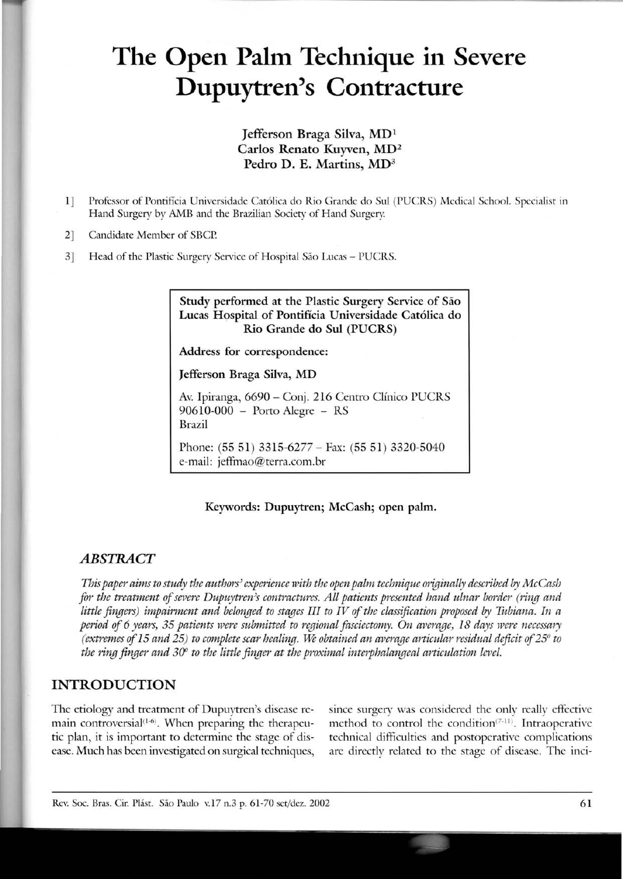# **The Open Paim Technique in Severe Dupuytren's Contracture**

#### Jefferson Braga Silva, MDI Carlos Renato Kuyven, MD2 Pedro D. E. Martins, MD<sup>3</sup>

- 1] Professor of Pontifícia Universidade Católica do Rio Grande do Sul (PUCRS) Medical School. Specialist in Hand Surgery by AMB and the Brazilian Society of Hand Surgery
- 2] Candidate Member of SBCP
- 3] Head of the Plastic Surgery Service of Hospital São Lucas PUCRS.

Study performed at the Plastic Surgery Service of São Lucas Hospital of Pontifícia Universidade Católica do Rio Grande do Sul (PUCRS)

Address for correspondence:

Jefferson Braga Silva, MD

Av. Ipiranga, 6690 - Conj. 216 Centro Clínico PUCRS 90610-000 - Porto Alegre - RS Brazil

Phone: (55 51) 3315-6277 - Fax: (55 51) 3320-5040 e-mail: jeffmao@terra.com.br

#### Keywords: Dupuytren; McCash; open palm.

#### *ABSTRACT*

*This paper aims to study the authors' experience with the openpalm technique originally described byMcCash for the treatment of severe Dupuytren)s contractures. All patients presented hand ulnar border (ring and little fingers) impairment and belonged to stages Ill to IV ofthe classification proposed by Tubiana. In a period of* 6 *years)* 35 *patients were submitted to regional [asciectomy. On average)* 18 *days were necessary (extremes of* 15 *and* 25) *to complete scar healing.* \* *obtained an average articular residual deficit of25° to the ring finger and 300 to the little finger at the proximal interphalangeal articulation levei.*

#### **INTRODUCTION**

The etiology and treatment of Dupuytren's disease remain controversial<sup>(1-6)</sup>. When preparing the therapeutic plan, it is important to determine the stage of disease.Much has been investigated on surgical techniques, since surgery was considered the only really effective method to control the condition $(7-11)$ . Intraoperative technical difficulties and postoperative complications are directly related to the stage of disease. The inci-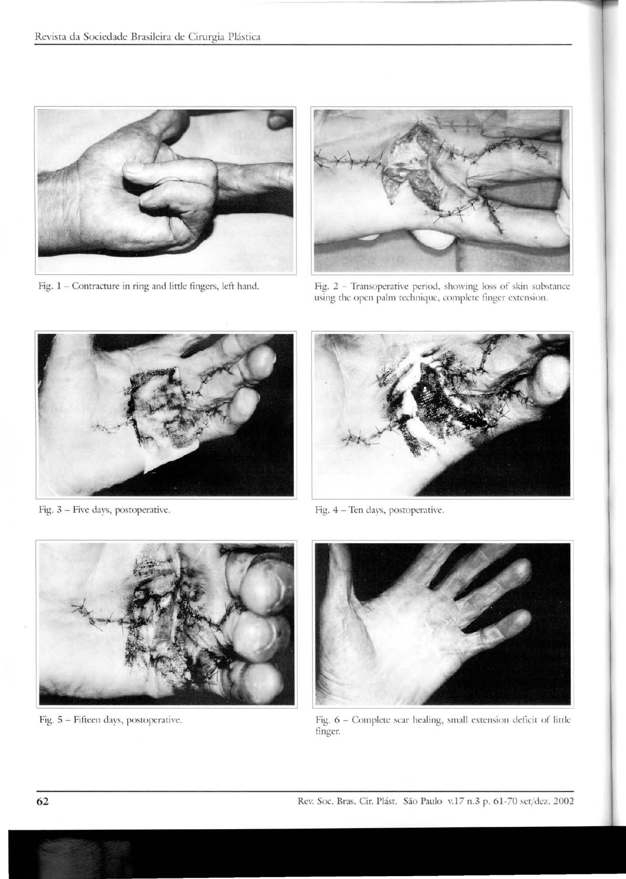

Fig.  $1$  – Contracture in ring and little fingers, left hand.



Fig. 2 - Transoperative period, showing loss of skin subsrance using the open palm technique, complete finger extension.



Fig. 3 - Five days, postoperative.



Fig. 4 - Ten days, posropcrative.



Fig. 5 - Fifteen days, postoperative.



Fig. 6 - Complete scar healing, small cxtcnsion dcficit of lirtlc finger.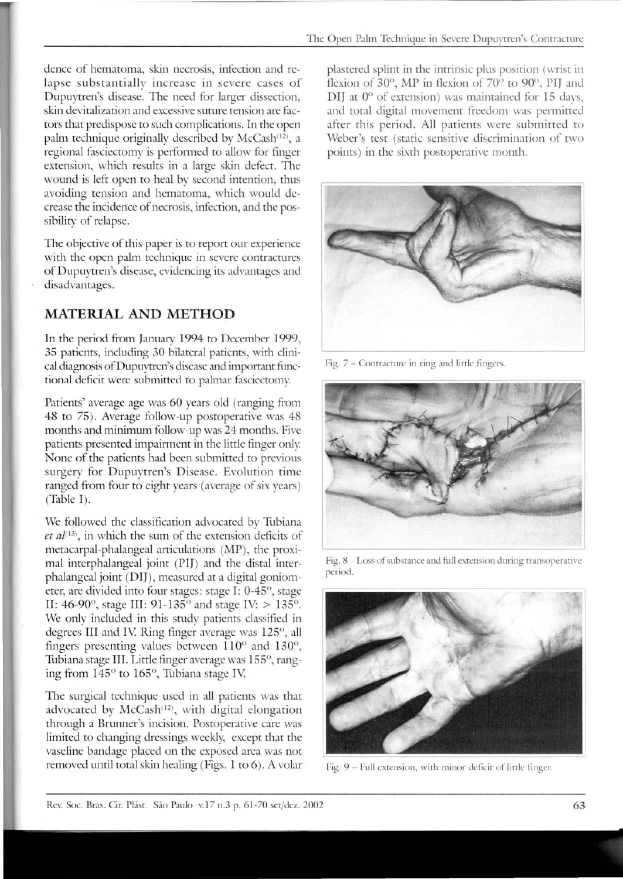dence of hematoma, skin necrosis, infection and relapse substantially increase in severe cases of Dupuytren's disease. The need for larger dissection, skin devitalization and excessive suture tension are factors that predispose to such complications. In the open palm technique originally described by McCash<sup>(12)</sup>, a regional fasciectomy is performed to allow for finger extension, which results in a large skin defect. The wound is left open to heal by second intention, thus avoiding tension and hematoma, which would decrease the incidence of necrasis, infection, and the possibility of relapse.

The objective of this paper is to report our experience with the open palm technigue in severe contractures of Dupuytren's disease, evidencing its advantages and disadvantages.

## **MATERIAL AND METHOD**

In the period from January 1994 to December 1999, 35 patients, including 30 bilateral patients, with clinical diagnosis of Dupuytren's disease and important functional deficit were submitted to palmar fasciectomy.

Patients' average age was 60 years old (ranging from 48 to 75). Average follow-up postoperative was 48 months and minimum follow-up was 24 months. Five patients presented impairment in the little finger only. None of the patients had been submitted to previous surgery for Dupuytren's Disease. Evolution time ranged from four to eight years (average of six years) (Table I).

We followed the classification advocated by Tubiana et al<sup>(13)</sup>, in which the sum of the extension deficits of metacarpal-phalangeal articulations (MP), the proximal interphalangeal joint (PI]) and the distal interphalangeal joint (DI]), measured at a digital goniometer, are divided into four stages: stage I: 0-45°, stage II: 46-90°, stage IlI: 91-135° and stage IV: > 135°. We only included in this study patients classified in degrees III and IV. Ring finger average was 125°, all fingers presenting values between 110° and 130°, Tubiana stage lII. Little finger average was 155°, ranging from 145° to 165°, Tubiana stage IV

The surgical technigue used in all patients was that advocated by McCash<sup>(12)</sup>, with digital elongation through a Brunner's incision. Postoperative care was limited to changing dressings weekly, except that the vaseline bandage placed on the exposed area was not removed until total skin healing (Figs. 1 to 6). A volar

plastered splint in the intrinsic plus position (wrist in flexion of 30°, MP in flexion of 70° to 90°, PIJ and DIJ at 0° of extension) was maintained for 15 days, and total digital movement freedom was permitted after this period. All patients were submitted to Weber's test (static sensitive discrimination of two points) in the sixth postoperative month.



Fig. 7 - Contracturc in ring and littlc fingers.



Fig. 8 - Loss of substance and full extension during transoperative period.



Fig. 9 - Full extension, with minor deficit of little finger.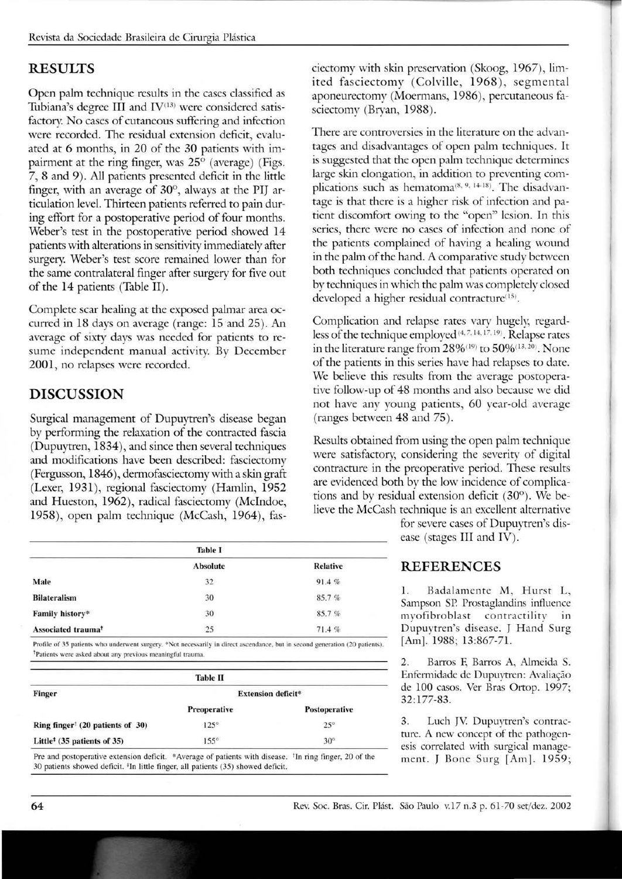## **RESULTS**

Open palm technique results in the cases classified as Tubiana's degree III and  $IV^{(13)}$  were considered satisfactory. No cases of cutaneous suffering and infection were recorded. The residual extension deficit, evaluated at 6 months, in 20 of the 30 patients with impairment at the ring finger, was  $25^{\circ}$  (average) (Figs. 7, 8 and 9). Ali patients presented deficit in the little finger, with an average of  $30^{\circ}$ , always at the PIJ articularion level. Thirteen patients referred to pain during effort for a postoperarive period of four months. Weber's test in the postoperative period showed 14 parients with alterarions in sensirivity immediately after surgery. Weber's test score remained lower than for the same contralateral finger after surgery for five out of the 14 patients (Table II).

Complete scar healing at the exposed palmar area occurred in 18 days on average (range: 15 and 25). An average of sixty days was needed for patients to resume independent manual activity. By December 2001, no relapses were recorded.

# **DISCUSSION**

Surgical management of Dupuytren's disease began by performing the relaxarion of the contracted fascia (Dupuytren, 1834), and since then several techniques and modifications have been described: fasciectomy (Fergusson, 1846), dermofasciectomy with a skin graft (Lexer, 1931), regional fasciectomy (Hamlin, 1952) and Hueston, 1962), radical fasciectomy (McIndoe, 1958), open palm technique (McCash, 1964), fas-

| <b>Table I</b>                 |                 |                 |
|--------------------------------|-----------------|-----------------|
|                                | <b>Absolute</b> | <b>Relative</b> |
| Male                           | 32              | 91.4%           |
| <b>Bilateralism</b>            | 30              | 85.7%           |
| Family history*                | 30              | 85.7%           |
| Associated trauma <sup>t</sup> | 25              | 71.4%           |

Profile of 35 patients who underwent surgery. \*Not necessarily in direct ascendance, but in second generation (20 patients). <sup>†</sup>Patients were asked about any previous meaningful trauma.

| <b>Table II</b>                                      |                           |               |  |
|------------------------------------------------------|---------------------------|---------------|--|
| Finger                                               | <b>Extension deficit*</b> |               |  |
|                                                      | Preoperative              | Postoperative |  |
| Ring finger <sup>†</sup> $(20$ patients of 30)       | $125^\circ$               | $25^\circ$    |  |
| Little <sup><math>‡</math></sup> (35 patients of 35) | $155^\circ$               | $30^\circ$    |  |

Pre and postoperative extension deficit. \*Average of patients with disease. <sup>†</sup>In ring finger, 20 of the 30 patients showed deficit. <sup>‡</sup>In little finger, all patients (35) showed deficit.

ciectomy with skin preservarion (Skoog, 1967), Iimited fasciectomy (Colville, 1968), segmental aponeurectomy (Moermans, 1986), percutaneous fasciectomy (Bryan, 1988).

There are controversies in the literarure on the advantages and disadvantages of open palm techniques. It is suggested that the open palm technique determines large skin elongarion, in addirion to prevenring complications such as hematoma<sup>(8, 9, 14-18)</sup>. The disadvantage is that there is a higher risk of infecrion and pariem discomfort owing to the "open" lesion. In this series, there were no cases of infection and none of the patients complained of having a healing wound in the palm of the hand. A comparative study between both techniques concluded that patients operated on by techniques in which the palm was completely closed developed a higher residual contracture $(15)$ .

Complicarion and relapse rates vary hugely, regardless of the technique employed (4, 7, 14, 17, 19). Relapse rates in the literature range from  $28\%$ <sup>(19)</sup> to  $50\%$ <sup>(13,20)</sup>. None of the parients in this series have had relapses to date. We believe this results from the average postoperative follow-up of 48 months and also because we did not have any young patients, 60 year-old average (ranges between 48 and 75).

Results obtained from using the open palm technique were sarisfactory, considering the severity of digital contracture in the preoperative period. These results are evidenced both by the Iow incidence of complicarions and by residual extension deficit (30°). We believe the McCash technique is an excellent alternative

> for severe cases of Dupuytren's disease (stages III and IV).

### **REFERENCES**

1. Badalamente M, Hurst L, Sampson SP Prostaglandins influence myofibroblast contractility in Dupuytren's disease. J Hand Surg [Am]. 1988; 13:867-71.

2. Barros F, Barros A, Almeida S. Enfermidade de Dupuytren: Avaliação de 100 casos. Ver Bras Ortop. 1997; 32:177-83.

3. Luch JV. Dupuytren's contracture. A new concept of the pathogenesis correlated with surgical management. J Bone Surg [Am]. 1959;